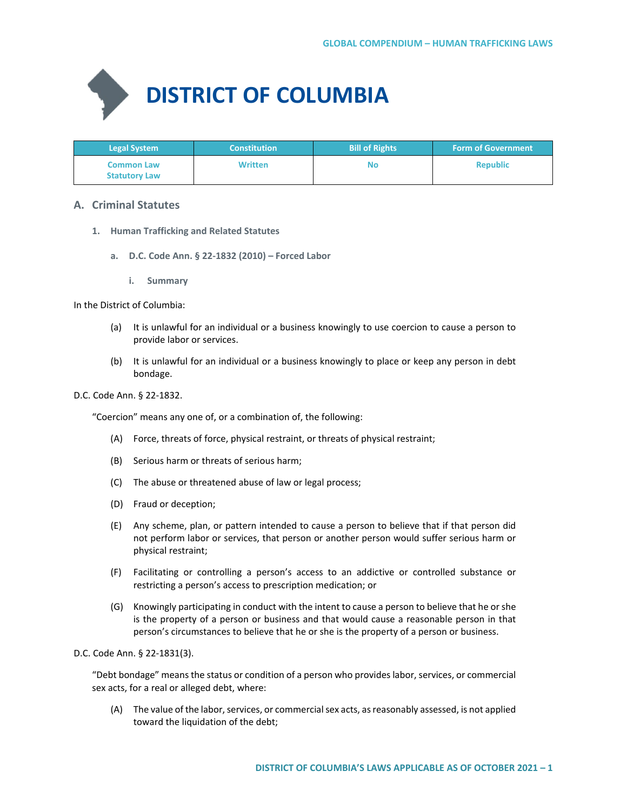

| <b>Legal System</b>                       | <b>Constitution</b> | <b>Bill of Rights</b> | <b>Form of Government</b> |
|-------------------------------------------|---------------------|-----------------------|---------------------------|
| <b>Common Law</b><br><b>Statutory Law</b> | <b>Written</b>      | <b>No</b>             | <b>Republic</b>           |

# **A. Criminal Statutes**

- **1. Human Trafficking and Related Statutes**
	- **a. D.C. Code Ann. § 22-1832 (2010) Forced Labor**
		- **i. Summary**

In the District of Columbia:

- (a) It is unlawful for an individual or a business knowingly to use coercion to cause a person to provide labor or services.
- (b) It is unlawful for an individual or a business knowingly to place or keep any person in debt bondage.

## D.C. Code Ann. § 22-1832.

"Coercion" means any one of, or a combination of, the following:

- (A) Force, threats of force, physical restraint, or threats of physical restraint;
- (B) Serious harm or threats of serious harm;
- (C) The abuse or threatened abuse of law or legal process;
- (D) Fraud or deception;
- (E) Any scheme, plan, or pattern intended to cause a person to believe that if that person did not perform labor or services, that person or another person would suffer serious harm or physical restraint;
- (F) Facilitating or controlling a person's access to an addictive or controlled substance or restricting a person's access to prescription medication; or
- (G) Knowingly participating in conduct with the intent to cause a person to believe that he or she is the property of a person or business and that would cause a reasonable person in that person's circumstances to believe that he or she is the property of a person or business.

D.C. Code Ann. § 22-1831(3).

"Debt bondage" means the status or condition of a person who provides labor, services, or commercial sex acts, for a real or alleged debt, where:

(A) The value of the labor, services, or commercial sex acts, as reasonably assessed, is not applied toward the liquidation of the debt;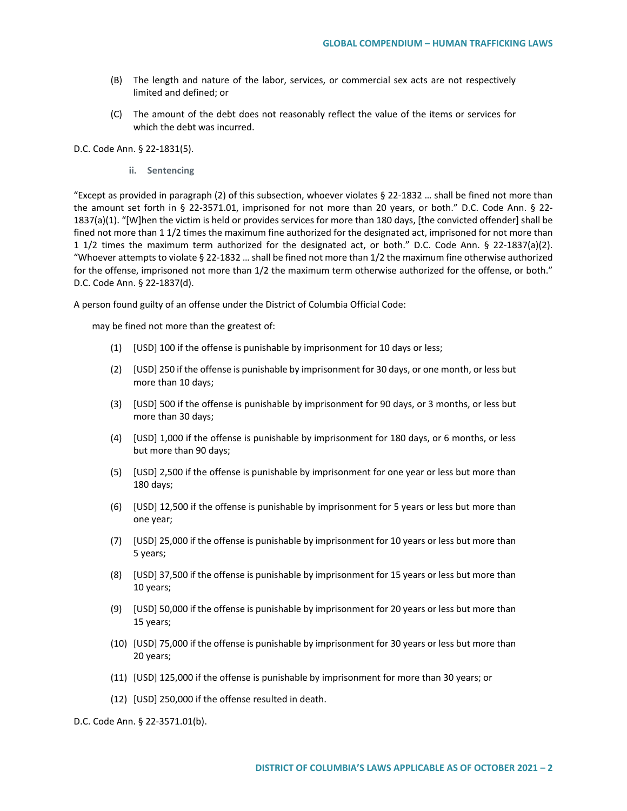- (B) The length and nature of the labor, services, or commercial sex acts are not respectively limited and defined; or
- (C) The amount of the debt does not reasonably reflect the value of the items or services for which the debt was incurred.

#### D.C. Code Ann. § 22-1831(5).

**ii. Sentencing**

"Except as provided in paragraph (2) of this subsection, whoever violates § 22-1832 … shall be fined not more than the amount set forth in § 22-3571.01, imprisoned for not more than 20 years, or both." D.C. Code Ann. § 22- 1837(a)(1). "[W]hen the victim is held or provides services for more than 180 days, [the convicted offender] shall be fined not more than 1 1/2 times the maximum fine authorized for the designated act, imprisoned for not more than 1 1/2 times the maximum term authorized for the designated act, or both." D.C. Code Ann. § 22-1837(a)(2). "Whoever attempts to violate § 22-1832 … shall be fined not more than 1/2 the maximum fine otherwise authorized for the offense, imprisoned not more than 1/2 the maximum term otherwise authorized for the offense, or both." D.C. Code Ann. § 22-1837(d).

A person found guilty of an offense under the District of Columbia Official Code:

may be fined not more than the greatest of:

- (1) [USD] 100 if the offense is punishable by imprisonment for 10 days or less;
- (2) [USD] 250 if the offense is punishable by imprisonment for 30 days, or one month, or less but more than 10 days;
- (3) [USD] 500 if the offense is punishable by imprisonment for 90 days, or 3 months, or less but more than 30 days;
- (4) [USD] 1,000 if the offense is punishable by imprisonment for 180 days, or 6 months, or less but more than 90 days;
- (5) [USD] 2,500 if the offense is punishable by imprisonment for one year or less but more than 180 days;
- (6) [USD] 12,500 if the offense is punishable by imprisonment for 5 years or less but more than one year;
- (7) [USD] 25,000 if the offense is punishable by imprisonment for 10 years or less but more than 5 years;
- (8) [USD] 37,500 if the offense is punishable by imprisonment for 15 years or less but more than 10 years;
- (9) [USD] 50,000 if the offense is punishable by imprisonment for 20 years or less but more than 15 years;
- (10) [USD] 75,000 if the offense is punishable by imprisonment for 30 years or less but more than 20 years;
- (11) [USD] 125,000 if the offense is punishable by imprisonment for more than 30 years; or
- (12) [USD] 250,000 if the offense resulted in death.

D.C. Code Ann. § 22-3571.01(b).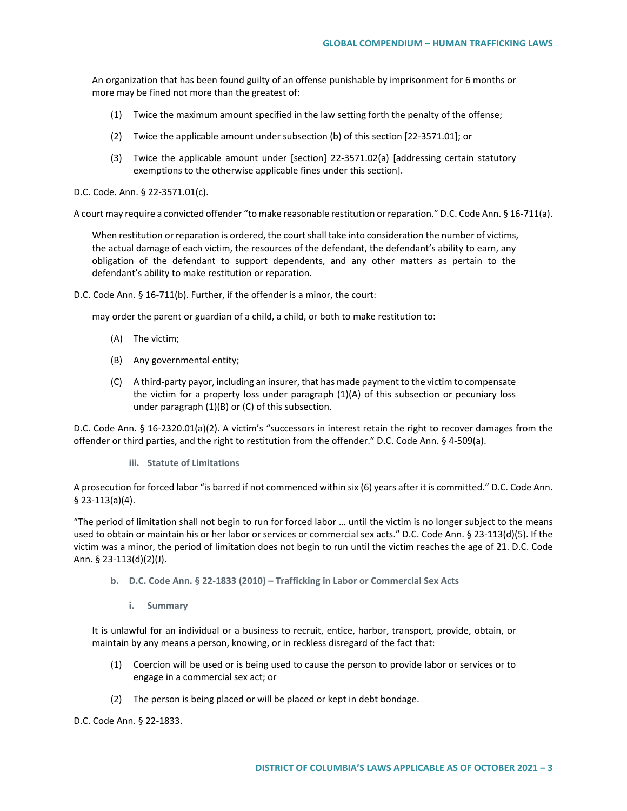An organization that has been found guilty of an offense punishable by imprisonment for 6 months or more may be fined not more than the greatest of:

- (1) Twice the maximum amount specified in the law setting forth the penalty of the offense;
- (2) Twice the applicable amount under subsection (b) of this section [22-3571.01]; or
- (3) Twice the applicable amount under [section] 22-3571.02(a) [addressing certain statutory exemptions to the otherwise applicable fines under this section].

D.C. Code. Ann. § 22-3571.01(c).

A court may require a convicted offender "to make reasonable restitution or reparation." D.C. Code Ann. § 16-711(a).

When restitution or reparation is ordered, the court shall take into consideration the number of victims, the actual damage of each victim, the resources of the defendant, the defendant's ability to earn, any obligation of the defendant to support dependents, and any other matters as pertain to the defendant's ability to make restitution or reparation.

D.C. Code Ann. § 16-711(b). Further, if the offender is a minor, the court:

may order the parent or guardian of a child, a child, or both to make restitution to:

- (A) The victim;
- (B) Any governmental entity;
- (C) A third-party payor, including an insurer, that has made payment to the victim to compensate the victim for a property loss under paragraph (1)(A) of this subsection or pecuniary loss under paragraph (1)(B) or (C) of this subsection.

D.C. Code Ann. § 16-2320.01(a)(2). A victim's "successors in interest retain the right to recover damages from the offender or third parties, and the right to restitution from the offender." D.C. Code Ann. § 4-509(a).

**iii. Statute of Limitations**

A prosecution for forced labor "is barred if not commenced within six (6) years after it is committed." D.C. Code Ann. § 23-113(a)(4).

"The period of limitation shall not begin to run for forced labor … until the victim is no longer subject to the means used to obtain or maintain his or her labor or services or commercial sex acts." D.C. Code Ann. § 23-113(d)(5). If the victim was a minor, the period of limitation does not begin to run until the victim reaches the age of 21. D.C. Code Ann. § 23-113(d)(2)(J).

- **b. D.C. Code Ann. § 22-1833 (2010) – Trafficking in Labor or Commercial Sex Acts**
	- **i. Summary**

It is unlawful for an individual or a business to recruit, entice, harbor, transport, provide, obtain, or maintain by any means a person, knowing, or in reckless disregard of the fact that:

- (1) Coercion will be used or is being used to cause the person to provide labor or services or to engage in a commercial sex act; or
- (2) The person is being placed or will be placed or kept in debt bondage.

D.C. Code Ann. § 22-1833.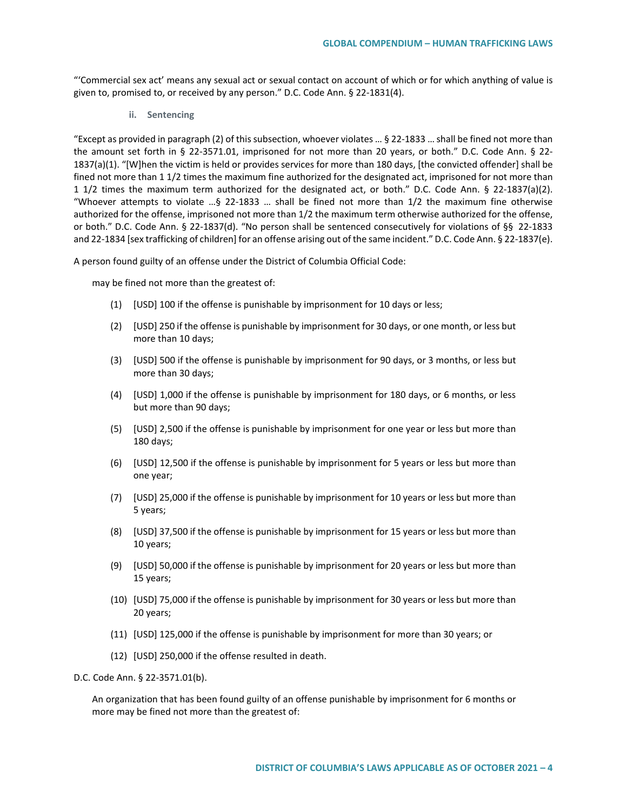"'Commercial sex act' means any sexual act or sexual contact on account of which or for which anything of value is given to, promised to, or received by any person." D.C. Code Ann. § 22-1831(4).

**ii. Sentencing**

"Except as provided in paragraph (2) of this subsection, whoever violates … § 22-1833 … shall be fined not more than the amount set forth in § 22-3571.01, imprisoned for not more than 20 years, or both." D.C. Code Ann. § 22- 1837(a)(1). "[W]hen the victim is held or provides services for more than 180 days, [the convicted offender] shall be fined not more than 1 1/2 times the maximum fine authorized for the designated act, imprisoned for not more than 1 1/2 times the maximum term authorized for the designated act, or both." D.C. Code Ann. § 22-1837(a)(2). "Whoever attempts to violate …§ 22-1833 … shall be fined not more than 1/2 the maximum fine otherwise authorized for the offense, imprisoned not more than 1/2 the maximum term otherwise authorized for the offense, or both." D.C. Code Ann. § 22-1837(d). "No person shall be sentenced consecutively for violations of §§ 22-1833 and 22-1834 [sex trafficking of children] for an offense arising out of the same incident." D.C. Code Ann. § 22-1837(e).

A person found guilty of an offense under the District of Columbia Official Code:

may be fined not more than the greatest of:

- (1) [USD] 100 if the offense is punishable by imprisonment for 10 days or less;
- (2) [USD] 250 if the offense is punishable by imprisonment for 30 days, or one month, or less but more than 10 days;
- (3) [USD] 500 if the offense is punishable by imprisonment for 90 days, or 3 months, or less but more than 30 days;
- (4) [USD] 1,000 if the offense is punishable by imprisonment for 180 days, or 6 months, or less but more than 90 days;
- (5) [USD] 2,500 if the offense is punishable by imprisonment for one year or less but more than 180 days;
- (6) [USD] 12,500 if the offense is punishable by imprisonment for 5 years or less but more than one year;
- (7) [USD] 25,000 if the offense is punishable by imprisonment for 10 years or less but more than 5 years;
- (8) [USD] 37,500 if the offense is punishable by imprisonment for 15 years or less but more than 10 years;
- (9) [USD] 50,000 if the offense is punishable by imprisonment for 20 years or less but more than 15 years;
- (10) [USD] 75,000 if the offense is punishable by imprisonment for 30 years or less but more than 20 years;
- (11) [USD] 125,000 if the offense is punishable by imprisonment for more than 30 years; or
- (12) [USD] 250,000 if the offense resulted in death.

D.C. Code Ann. § 22-3571.01(b).

An organization that has been found guilty of an offense punishable by imprisonment for 6 months or more may be fined not more than the greatest of: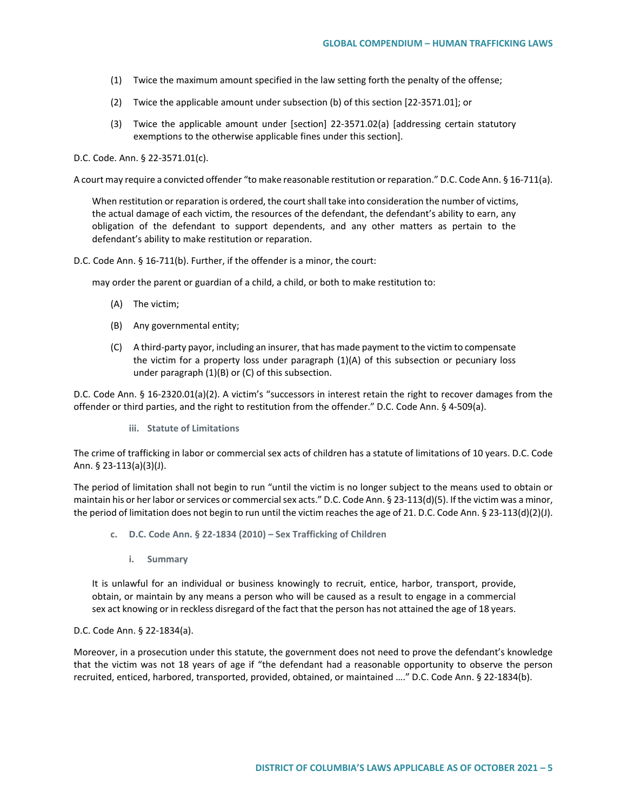- (1) Twice the maximum amount specified in the law setting forth the penalty of the offense;
- (2) Twice the applicable amount under subsection (b) of this section [22-3571.01]; or
- (3) Twice the applicable amount under [section] 22-3571.02(a) [addressing certain statutory exemptions to the otherwise applicable fines under this section].

D.C. Code. Ann. § 22-3571.01(c).

A court may require a convicted offender "to make reasonable restitution or reparation." D.C. Code Ann. § 16-711(a).

When restitution or reparation is ordered, the court shall take into consideration the number of victims, the actual damage of each victim, the resources of the defendant, the defendant's ability to earn, any obligation of the defendant to support dependents, and any other matters as pertain to the defendant's ability to make restitution or reparation.

D.C. Code Ann. § 16-711(b). Further, if the offender is a minor, the court:

may order the parent or guardian of a child, a child, or both to make restitution to:

- (A) The victim;
- (B) Any governmental entity;
- (C) A third-party payor, including an insurer, that has made payment to the victim to compensate the victim for a property loss under paragraph (1)(A) of this subsection or pecuniary loss under paragraph (1)(B) or (C) of this subsection.

D.C. Code Ann. § 16-2320.01(a)(2). A victim's "successors in interest retain the right to recover damages from the offender or third parties, and the right to restitution from the offender." D.C. Code Ann. § 4-509(a).

**iii. Statute of Limitations**

The crime of trafficking in labor or commercial sex acts of children has a statute of limitations of 10 years. D.C. Code Ann. § 23-113(a)(3)(J).

The period of limitation shall not begin to run "until the victim is no longer subject to the means used to obtain or maintain his or her labor or services or commercial sex acts." D.C. Code Ann. § 23-113(d)(5). If the victim was a minor, the period of limitation does not begin to run until the victim reaches the age of 21. D.C. Code Ann. § 23-113(d)(2)(J).

- **c. D.C. Code Ann. § 22-1834 (2010) – Sex Trafficking of Children**
	- **i. Summary**

It is unlawful for an individual or business knowingly to recruit, entice, harbor, transport, provide, obtain, or maintain by any means a person who will be caused as a result to engage in a commercial sex act knowing or in reckless disregard of the fact that the person has not attained the age of 18 years.

D.C. Code Ann. § 22-1834(a).

Moreover, in a prosecution under this statute, the government does not need to prove the defendant's knowledge that the victim was not 18 years of age if "the defendant had a reasonable opportunity to observe the person recruited, enticed, harbored, transported, provided, obtained, or maintained …." D.C. Code Ann. § 22-1834(b).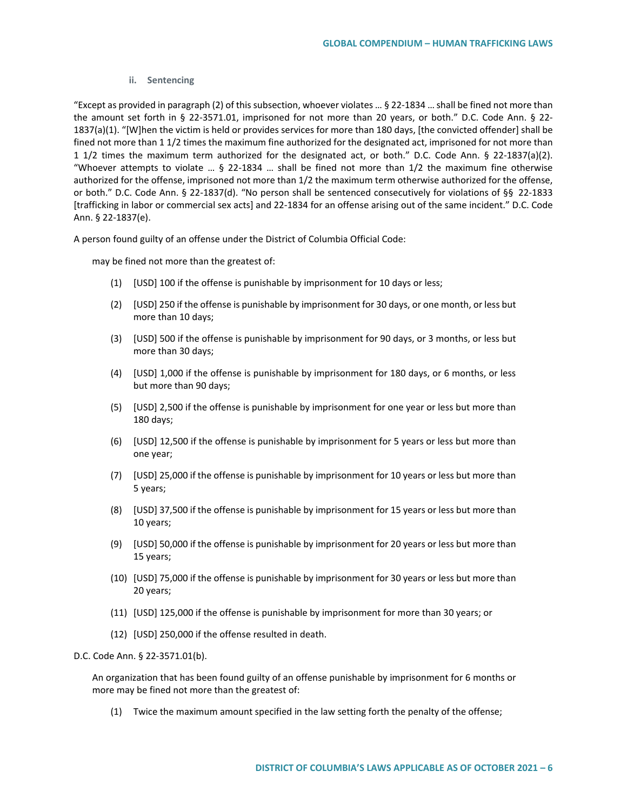#### **ii. Sentencing**

"Except as provided in paragraph (2) of this subsection, whoever violates … § 22-1834 … shall be fined not more than the amount set forth in § 22-3571.01, imprisoned for not more than 20 years, or both." D.C. Code Ann. § 22- 1837(a)(1). "[W]hen the victim is held or provides services for more than 180 days, [the convicted offender] shall be fined not more than 1 1/2 times the maximum fine authorized for the designated act, imprisoned for not more than 1 1/2 times the maximum term authorized for the designated act, or both." D.C. Code Ann. § 22-1837(a)(2). "Whoever attempts to violate … § 22-1834 … shall be fined not more than 1/2 the maximum fine otherwise authorized for the offense, imprisoned not more than 1/2 the maximum term otherwise authorized for the offense, or both." D.C. Code Ann. § 22-1837(d). "No person shall be sentenced consecutively for violations of §§ 22-1833 [trafficking in labor or commercial sex acts] and 22-1834 for an offense arising out of the same incident." D.C. Code Ann. § 22-1837(e).

A person found guilty of an offense under the District of Columbia Official Code:

may be fined not more than the greatest of:

- (1) [USD] 100 if the offense is punishable by imprisonment for 10 days or less;
- (2) [USD] 250 if the offense is punishable by imprisonment for 30 days, or one month, or less but more than 10 days;
- (3) [USD] 500 if the offense is punishable by imprisonment for 90 days, or 3 months, or less but more than 30 days;
- (4) [USD] 1,000 if the offense is punishable by imprisonment for 180 days, or 6 months, or less but more than 90 days;
- (5) [USD] 2,500 if the offense is punishable by imprisonment for one year or less but more than 180 days;
- (6) [USD] 12,500 if the offense is punishable by imprisonment for 5 years or less but more than one year;
- (7) [USD] 25,000 if the offense is punishable by imprisonment for 10 years or less but more than 5 years;
- (8) [USD] 37,500 if the offense is punishable by imprisonment for 15 years or less but more than 10 years;
- (9) [USD] 50,000 if the offense is punishable by imprisonment for 20 years or less but more than 15 years;
- (10) [USD] 75,000 if the offense is punishable by imprisonment for 30 years or less but more than 20 years;
- (11) [USD] 125,000 if the offense is punishable by imprisonment for more than 30 years; or
- (12) [USD] 250,000 if the offense resulted in death.

D.C. Code Ann. § 22-3571.01(b).

An organization that has been found guilty of an offense punishable by imprisonment for 6 months or more may be fined not more than the greatest of:

(1) Twice the maximum amount specified in the law setting forth the penalty of the offense;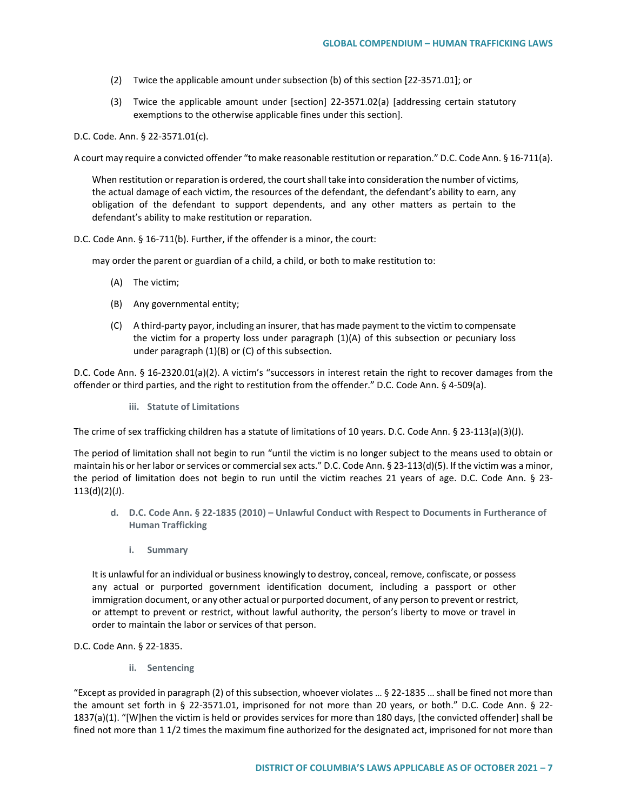- (2) Twice the applicable amount under subsection (b) of this section [22-3571.01]; or
- (3) Twice the applicable amount under [section] 22-3571.02(a) [addressing certain statutory exemptions to the otherwise applicable fines under this section].

D.C. Code. Ann. § 22-3571.01(c).

A court may require a convicted offender "to make reasonable restitution or reparation." D.C. Code Ann. § 16-711(a).

When restitution or reparation is ordered, the court shall take into consideration the number of victims, the actual damage of each victim, the resources of the defendant, the defendant's ability to earn, any obligation of the defendant to support dependents, and any other matters as pertain to the defendant's ability to make restitution or reparation.

D.C. Code Ann. § 16-711(b). Further, if the offender is a minor, the court:

may order the parent or guardian of a child, a child, or both to make restitution to:

- (A) The victim;
- (B) Any governmental entity;
- (C) A third-party payor, including an insurer, that has made payment to the victim to compensate the victim for a property loss under paragraph (1)(A) of this subsection or pecuniary loss under paragraph (1)(B) or (C) of this subsection.

D.C. Code Ann. § 16-2320.01(a)(2). A victim's "successors in interest retain the right to recover damages from the offender or third parties, and the right to restitution from the offender." D.C. Code Ann. § 4-509(a).

**iii. Statute of Limitations**

The crime of sex trafficking children has a statute of limitations of 10 years. D.C. Code Ann. § 23-113(a)(3)(J).

The period of limitation shall not begin to run "until the victim is no longer subject to the means used to obtain or maintain his or her labor or services or commercial sex acts." D.C. Code Ann. § 23-113(d)(5). If the victim was a minor, the period of limitation does not begin to run until the victim reaches 21 years of age. D.C. Code Ann. § 23- 113(d)(2)(J).

- **d. D.C. Code Ann. § 22-1835 (2010) – Unlawful Conduct with Respect to Documents in Furtherance of Human Trafficking**
	- **i. Summary**

It is unlawful for an individual or business knowingly to destroy, conceal, remove, confiscate, or possess any actual or purported government identification document, including a passport or other immigration document, or any other actual or purported document, of any person to prevent or restrict, or attempt to prevent or restrict, without lawful authority, the person's liberty to move or travel in order to maintain the labor or services of that person.

D.C. Code Ann. § 22-1835.

**ii. Sentencing**

"Except as provided in paragraph (2) of this subsection, whoever violates … § 22-1835 … shall be fined not more than the amount set forth in § 22-3571.01, imprisoned for not more than 20 years, or both." D.C. Code Ann. § 22- 1837(a)(1). "[W]hen the victim is held or provides services for more than 180 days, [the convicted offender] shall be fined not more than 1 1/2 times the maximum fine authorized for the designated act, imprisoned for not more than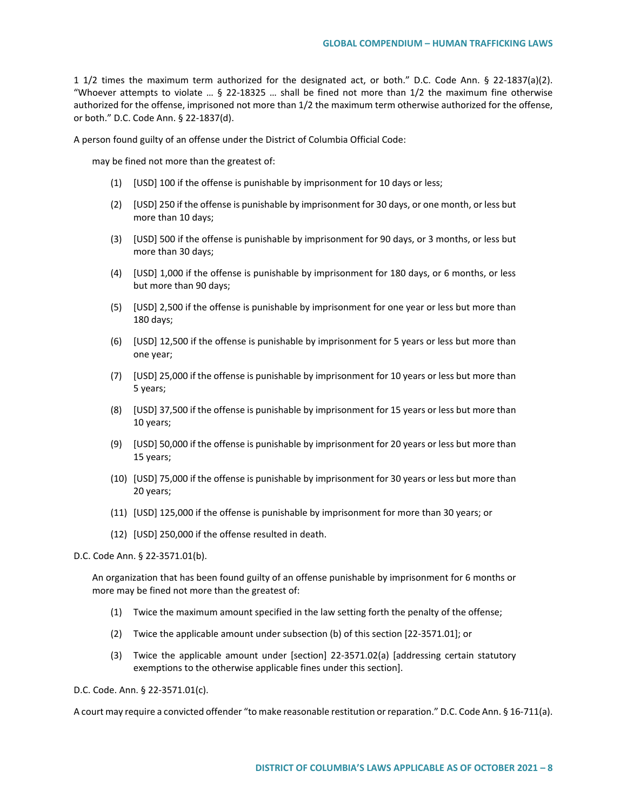1 1/2 times the maximum term authorized for the designated act, or both." D.C. Code Ann. § 22-1837(a)(2). "Whoever attempts to violate ...  $\S$  22-18325 ... shall be fined not more than 1/2 the maximum fine otherwise authorized for the offense, imprisoned not more than 1/2 the maximum term otherwise authorized for the offense, or both." D.C. Code Ann. § 22-1837(d).

A person found guilty of an offense under the District of Columbia Official Code:

may be fined not more than the greatest of:

- (1) [USD] 100 if the offense is punishable by imprisonment for 10 days or less;
- (2) [USD] 250 if the offense is punishable by imprisonment for 30 days, or one month, or less but more than 10 days;
- (3) [USD] 500 if the offense is punishable by imprisonment for 90 days, or 3 months, or less but more than 30 days;
- (4) [USD] 1,000 if the offense is punishable by imprisonment for 180 days, or 6 months, or less but more than 90 days;
- (5) [USD] 2,500 if the offense is punishable by imprisonment for one year or less but more than 180 days;
- (6) [USD] 12,500 if the offense is punishable by imprisonment for 5 years or less but more than one year;
- (7) [USD] 25,000 if the offense is punishable by imprisonment for 10 years or less but more than 5 years;
- (8) [USD] 37,500 if the offense is punishable by imprisonment for 15 years or less but more than 10 years;
- (9) [USD] 50,000 if the offense is punishable by imprisonment for 20 years or less but more than 15 years;
- (10) [USD] 75,000 if the offense is punishable by imprisonment for 30 years or less but more than 20 years;
- (11) [USD] 125,000 if the offense is punishable by imprisonment for more than 30 years; or
- (12) [USD] 250,000 if the offense resulted in death.

D.C. Code Ann. § 22-3571.01(b).

An organization that has been found guilty of an offense punishable by imprisonment for 6 months or more may be fined not more than the greatest of:

- (1) Twice the maximum amount specified in the law setting forth the penalty of the offense;
- (2) Twice the applicable amount under subsection (b) of this section [22-3571.01]; or
- (3) Twice the applicable amount under [section] 22-3571.02(a) [addressing certain statutory exemptions to the otherwise applicable fines under this section].

D.C. Code. Ann. § 22-3571.01(c).

A court may require a convicted offender "to make reasonable restitution or reparation." D.C. Code Ann. § 16-711(a).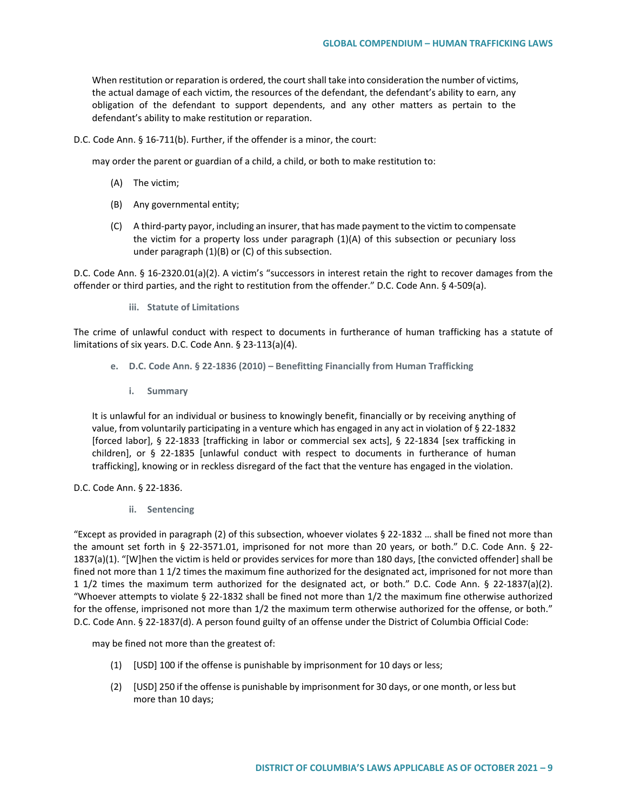When restitution or reparation is ordered, the court shall take into consideration the number of victims, the actual damage of each victim, the resources of the defendant, the defendant's ability to earn, any obligation of the defendant to support dependents, and any other matters as pertain to the defendant's ability to make restitution or reparation.

D.C. Code Ann. § 16-711(b). Further, if the offender is a minor, the court:

may order the parent or guardian of a child, a child, or both to make restitution to:

- (A) The victim;
- (B) Any governmental entity;
- (C) A third-party payor, including an insurer, that has made payment to the victim to compensate the victim for a property loss under paragraph (1)(A) of this subsection or pecuniary loss under paragraph (1)(B) or (C) of this subsection.

D.C. Code Ann. § 16-2320.01(a)(2). A victim's "successors in interest retain the right to recover damages from the offender or third parties, and the right to restitution from the offender." D.C. Code Ann. § 4-509(a).

**iii. Statute of Limitations**

The crime of unlawful conduct with respect to documents in furtherance of human trafficking has a statute of limitations of six years. D.C. Code Ann. § 23-113(a)(4).

- **e. D.C. Code Ann. § 22-1836 (2010) – Benefitting Financially from Human Trafficking**
	- **i. Summary**

It is unlawful for an individual or business to knowingly benefit, financially or by receiving anything of value, from voluntarily participating in a venture which has engaged in any act in violation of § 22-1832 [forced labor], § 22-1833 [trafficking in labor or commercial sex acts], § 22-1834 [sex trafficking in children], or § 22-1835 [unlawful conduct with respect to documents in furtherance of human trafficking], knowing or in reckless disregard of the fact that the venture has engaged in the violation.

## D.C. Code Ann. § 22-1836.

**ii. Sentencing**

"Except as provided in paragraph (2) of this subsection, whoever violates § 22-1832 … shall be fined not more than the amount set forth in § 22-3571.01, imprisoned for not more than 20 years, or both." D.C. Code Ann. § 22- 1837(a)(1). "[W]hen the victim is held or provides services for more than 180 days, [the convicted offender] shall be fined not more than 1 1/2 times the maximum fine authorized for the designated act, imprisoned for not more than 1 1/2 times the maximum term authorized for the designated act, or both." D.C. Code Ann. § 22-1837(a)(2). "Whoever attempts to violate § 22-1832 shall be fined not more than 1/2 the maximum fine otherwise authorized for the offense, imprisoned not more than 1/2 the maximum term otherwise authorized for the offense, or both." D.C. Code Ann. § 22-1837(d). A person found guilty of an offense under the District of Columbia Official Code:

may be fined not more than the greatest of:

- (1) [USD] 100 if the offense is punishable by imprisonment for 10 days or less;
- (2) [USD] 250 if the offense is punishable by imprisonment for 30 days, or one month, or less but more than 10 days;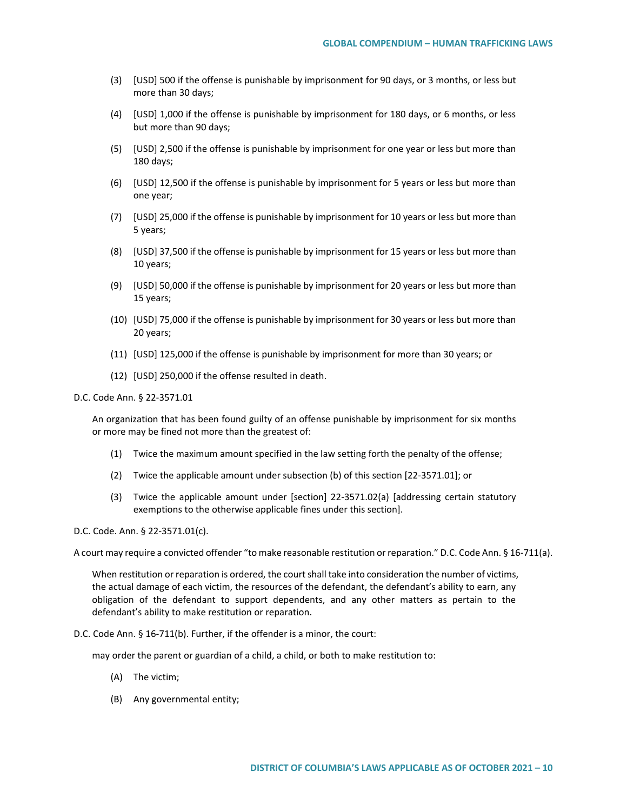- (3) [USD] 500 if the offense is punishable by imprisonment for 90 days, or 3 months, or less but more than 30 days;
- (4) [USD] 1,000 if the offense is punishable by imprisonment for 180 days, or 6 months, or less but more than 90 days;
- (5) [USD] 2,500 if the offense is punishable by imprisonment for one year or less but more than 180 days;
- (6) [USD] 12,500 if the offense is punishable by imprisonment for 5 years or less but more than one year;
- (7) [USD] 25,000 if the offense is punishable by imprisonment for 10 years or less but more than 5 years;
- (8) [USD] 37,500 if the offense is punishable by imprisonment for 15 years or less but more than 10 years;
- (9) [USD] 50,000 if the offense is punishable by imprisonment for 20 years or less but more than 15 years;
- (10) [USD] 75,000 if the offense is punishable by imprisonment for 30 years or less but more than 20 years;
- (11) [USD] 125,000 if the offense is punishable by imprisonment for more than 30 years; or
- (12) [USD] 250,000 if the offense resulted in death.

D.C. Code Ann. § 22-3571.01

An organization that has been found guilty of an offense punishable by imprisonment for six months or more may be fined not more than the greatest of:

- (1) Twice the maximum amount specified in the law setting forth the penalty of the offense;
- (2) Twice the applicable amount under subsection (b) of this section [22-3571.01]; or
- (3) Twice the applicable amount under [section] 22-3571.02(a) [addressing certain statutory exemptions to the otherwise applicable fines under this section].

D.C. Code. Ann. § 22-3571.01(c).

A court may require a convicted offender "to make reasonable restitution or reparation." D.C. Code Ann. § 16-711(a).

When restitution or reparation is ordered, the court shall take into consideration the number of victims, the actual damage of each victim, the resources of the defendant, the defendant's ability to earn, any obligation of the defendant to support dependents, and any other matters as pertain to the defendant's ability to make restitution or reparation.

D.C. Code Ann. § 16-711(b). Further, if the offender is a minor, the court:

may order the parent or guardian of a child, a child, or both to make restitution to:

- (A) The victim;
- (B) Any governmental entity;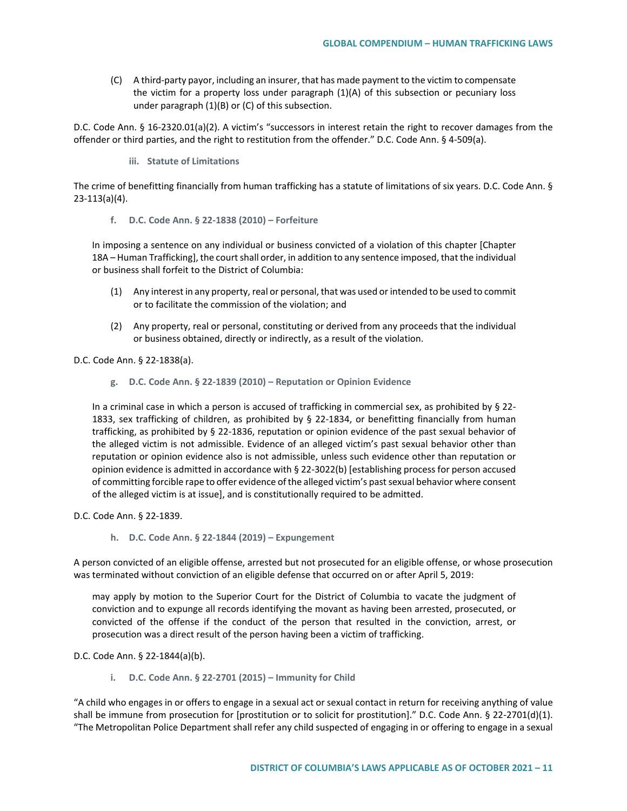(C) A third-party payor, including an insurer, that has made payment to the victim to compensate the victim for a property loss under paragraph (1)(A) of this subsection or pecuniary loss under paragraph (1)(B) or (C) of this subsection.

D.C. Code Ann. § 16-2320.01(a)(2). A victim's "successors in interest retain the right to recover damages from the offender or third parties, and the right to restitution from the offender." D.C. Code Ann. § 4-509(a).

**iii. Statute of Limitations**

The crime of benefitting financially from human trafficking has a statute of limitations of six years. D.C. Code Ann. § 23-113(a)(4).

**f. D.C. Code Ann. § 22-1838 (2010) – Forfeiture**

In imposing a sentence on any individual or business convicted of a violation of this chapter [Chapter 18A – Human Trafficking], the court shall order, in addition to any sentence imposed, that the individual or business shall forfeit to the District of Columbia:

- (1) Any interest in any property, real or personal, that was used or intended to be used to commit or to facilitate the commission of the violation; and
- (2) Any property, real or personal, constituting or derived from any proceeds that the individual or business obtained, directly or indirectly, as a result of the violation.

D.C. Code Ann. § 22-1838(a).

**g. D.C. Code Ann. § 22-1839 (2010) – Reputation or Opinion Evidence**

In a criminal case in which a person is accused of trafficking in commercial sex, as prohibited by § 22- 1833, sex trafficking of children, as prohibited by § 22-1834, or benefitting financially from human trafficking, as prohibited by § 22-1836, reputation or opinion evidence of the past sexual behavior of the alleged victim is not admissible. Evidence of an alleged victim's past sexual behavior other than reputation or opinion evidence also is not admissible, unless such evidence other than reputation or opinion evidence is admitted in accordance with § 22-3022(b) [establishing process for person accused of committing forcible rape to offer evidence of the alleged victim's past sexual behavior where consent of the alleged victim is at issue], and is constitutionally required to be admitted.

D.C. Code Ann. § 22-1839.

**h. D.C. Code Ann. § 22-1844 (2019) – Expungement**

A person convicted of an eligible offense, arrested but not prosecuted for an eligible offense, or whose prosecution was terminated without conviction of an eligible defense that occurred on or after April 5, 2019:

may apply by motion to the Superior Court for the District of Columbia to vacate the judgment of conviction and to expunge all records identifying the movant as having been arrested, prosecuted, or convicted of the offense if the conduct of the person that resulted in the conviction, arrest, or prosecution was a direct result of the person having been a victim of trafficking.

D.C. Code Ann. § 22-1844(a)(b).

**i. D.C. Code Ann. § 22-2701 (2015) – Immunity for Child** 

"A child who engages in or offers to engage in a sexual act or sexual contact in return for receiving anything of value shall be immune from prosecution for [prostitution or to solicit for prostitution]." D.C. Code Ann. § 22-2701(d)(1). "The Metropolitan Police Department shall refer any child suspected of engaging in or offering to engage in a sexual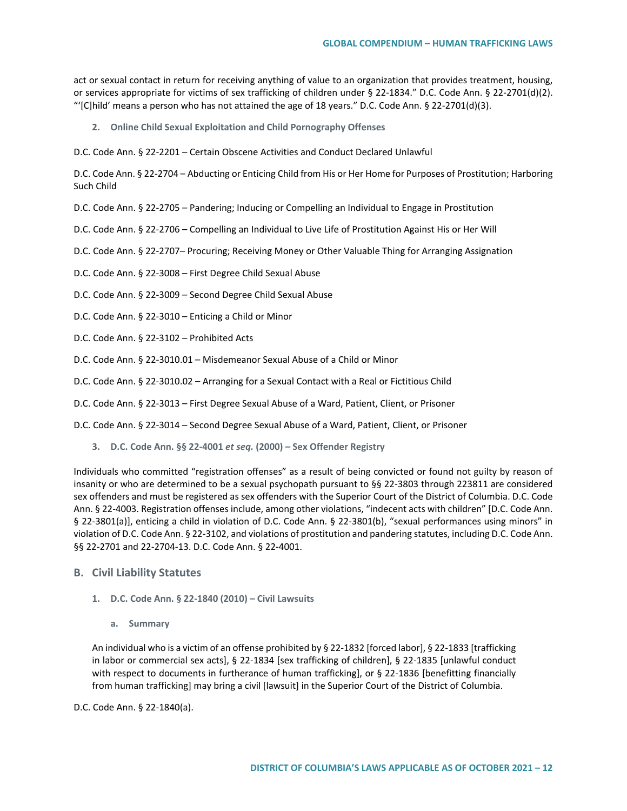act or sexual contact in return for receiving anything of value to an organization that provides treatment, housing, or services appropriate for victims of sex trafficking of children under § 22-1834." D.C. Code Ann. § 22-2701(d)(2). "'[C]hild' means a person who has not attained the age of 18 years." D.C. Code Ann. § 22-2701(d)(3).

**2. Online Child Sexual Exploitation and Child Pornography Offenses**

D.C. Code Ann. § 22-2201 – Certain Obscene Activities and Conduct Declared Unlawful

D.C. Code Ann. § 22-2704 – Abducting or Enticing Child from His or Her Home for Purposes of Prostitution; Harboring Such Child

D.C. Code Ann. § 22-2705 – Pandering; Inducing or Compelling an Individual to Engage in Prostitution

D.C. Code Ann. § 22-2706 – Compelling an Individual to Live Life of Prostitution Against His or Her Will

- D.C. Code Ann. § 22-2707– Procuring; Receiving Money or Other Valuable Thing for Arranging Assignation
- D.C. Code Ann. § 22-3008 First Degree Child Sexual Abuse
- D.C. Code Ann. § 22-3009 Second Degree Child Sexual Abuse
- D.C. Code Ann. § 22-3010 Enticing a Child or Minor
- D.C. Code Ann. § 22-3102 Prohibited Acts
- D.C. Code Ann. § 22-3010.01 Misdemeanor Sexual Abuse of a Child or Minor
- D.C. Code Ann. § 22-3010.02 Arranging for a Sexual Contact with a Real or Fictitious Child
- D.C. Code Ann. § 22-3013 First Degree Sexual Abuse of a Ward, Patient, Client, or Prisoner
- D.C. Code Ann. § 22-3014 Second Degree Sexual Abuse of a Ward, Patient, Client, or Prisoner
	- **3. D.C. Code Ann. §§ 22-4001** *et seq.* **(2000) – Sex Offender Registry**

Individuals who committed "registration offenses" as a result of being convicted or found not guilty by reason of insanity or who are determined to be a sexual psychopath pursuant to §§ 22-3803 through 223811 are considered sex offenders and must be registered as sex offenders with the Superior Court of the District of Columbia. D.C. Code Ann. § 22-4003. Registration offenses include, among other violations, "indecent acts with children" [D.C. Code Ann. § 22-3801(a)], enticing a child in violation of D.C. Code Ann. § 22-3801(b), "sexual performances using minors" in violation of D.C. Code Ann. § 22-3102, and violations of prostitution and pandering statutes, including D.C. Code Ann. §§ 22-2701 and 22-2704-13. D.C. Code Ann. § 22-4001.

## **B. Civil Liability Statutes**

- **1. D.C. Code Ann. § 22-1840 (2010) – Civil Lawsuits**
	- **a. Summary**

An individual who is a victim of an offense prohibited by § 22-1832 [forced labor], § 22-1833 [trafficking in labor or commercial sex acts], § 22-1834 [sex trafficking of children], § 22-1835 [unlawful conduct with respect to documents in furtherance of human trafficking], or § 22-1836 [benefitting financially from human trafficking] may bring a civil [lawsuit] in the Superior Court of the District of Columbia.

D.C. Code Ann. § 22-1840(a).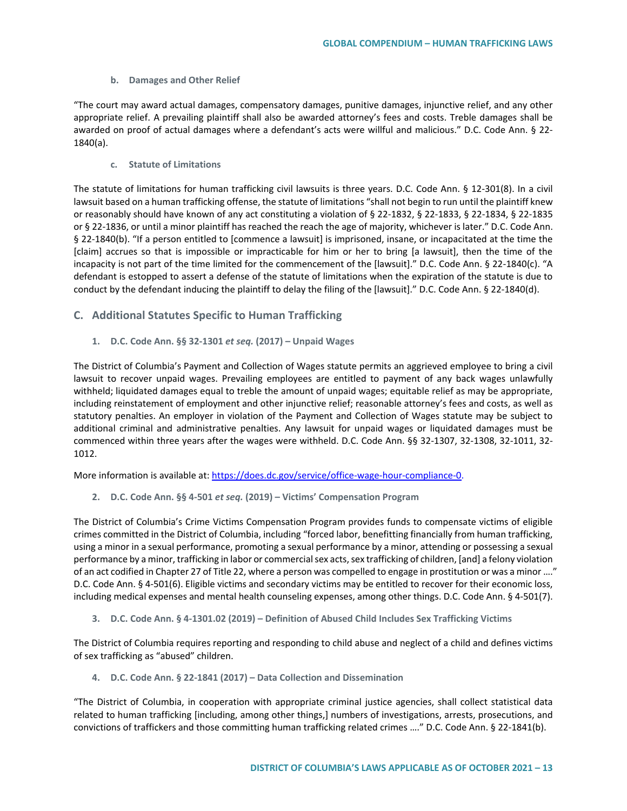### **b. Damages and Other Relief**

"The court may award actual damages, compensatory damages, punitive damages, injunctive relief, and any other appropriate relief. A prevailing plaintiff shall also be awarded attorney's fees and costs. Treble damages shall be awarded on proof of actual damages where a defendant's acts were willful and malicious." D.C. Code Ann. § 22- 1840(a).

**c. Statute of Limitations**

The statute of limitations for human trafficking civil lawsuits is three years. D.C. Code Ann. § 12-301(8). In a civil lawsuit based on a human trafficking offense, the statute of limitations "shall not begin to run until the plaintiff knew or reasonably should have known of any act constituting a violation of § 22-1832, § 22-1833, § 22-1834, § 22-1835 or § 22-1836, or until a minor plaintiff has reached the reach the age of majority, whichever is later." D.C. Code Ann. § 22-1840(b). "If a person entitled to [commence a lawsuit] is imprisoned, insane, or incapacitated at the time the [claim] accrues so that is impossible or impracticable for him or her to bring [a lawsuit], then the time of the incapacity is not part of the time limited for the commencement of the [lawsuit]." D.C. Code Ann. § 22-1840(c). "A defendant is estopped to assert a defense of the statute of limitations when the expiration of the statute is due to conduct by the defendant inducing the plaintiff to delay the filing of the [lawsuit]." D.C. Code Ann. § 22-1840(d).

# **C. Additional Statutes Specific to Human Trafficking**

**1. D.C. Code Ann. §§ 32-1301** *et seq.* **(2017) – Unpaid Wages**

The District of Columbia's Payment and Collection of Wages statute permits an aggrieved employee to bring a civil lawsuit to recover unpaid wages. Prevailing employees are entitled to payment of any back wages unlawfully withheld; liquidated damages equal to treble the amount of unpaid wages; equitable relief as may be appropriate, including reinstatement of employment and other injunctive relief; reasonable attorney's fees and costs, as well as statutory penalties. An employer in violation of the Payment and Collection of Wages statute may be subject to additional criminal and administrative penalties. Any lawsuit for unpaid wages or liquidated damages must be commenced within three years after the wages were withheld. D.C. Code Ann. §§ 32-1307, 32-1308, 32-1011, 32- 1012.

More information is available at: [https://does.dc.gov/service/office-wage-hour-compliance-0.](https://does.dc.gov/service/office-wage-hour-compliance-0)

**2. D.C. Code Ann. §§ 4-501** *et seq.* **(2019) – Victims' Compensation Program**

The District of Columbia's Crime Victims Compensation Program provides funds to compensate victims of eligible crimes committed in the District of Columbia, including "forced labor, benefitting financially from human trafficking, using a minor in a sexual performance, promoting a sexual performance by a minor, attending or possessing a sexual performance by a minor, trafficking in labor or commercial sex acts, sex trafficking of children, [and] a felony violation of an act codified in Chapter 27 of Title 22, where a person was compelled to engage in prostitution or was a minor …." D.C. Code Ann. § 4-501(6). Eligible victims and secondary victims may be entitled to recover for their economic loss, including medical expenses and mental health counseling expenses, among other things. D.C. Code Ann. § 4-501(7).

**3. D.C. Code Ann. § 4-1301.02 (2019) – Definition of Abused Child Includes Sex Trafficking Victims**

The District of Columbia requires reporting and responding to child abuse and neglect of a child and defines victims of sex trafficking as "abused" children.

**4. D.C. Code Ann. § 22-1841 (2017) – Data Collection and Dissemination**

"The District of Columbia, in cooperation with appropriate criminal justice agencies, shall collect statistical data related to human trafficking [including, among other things,] numbers of investigations, arrests, prosecutions, and convictions of traffickers and those committing human trafficking related crimes …." D.C. Code Ann. § 22-1841(b).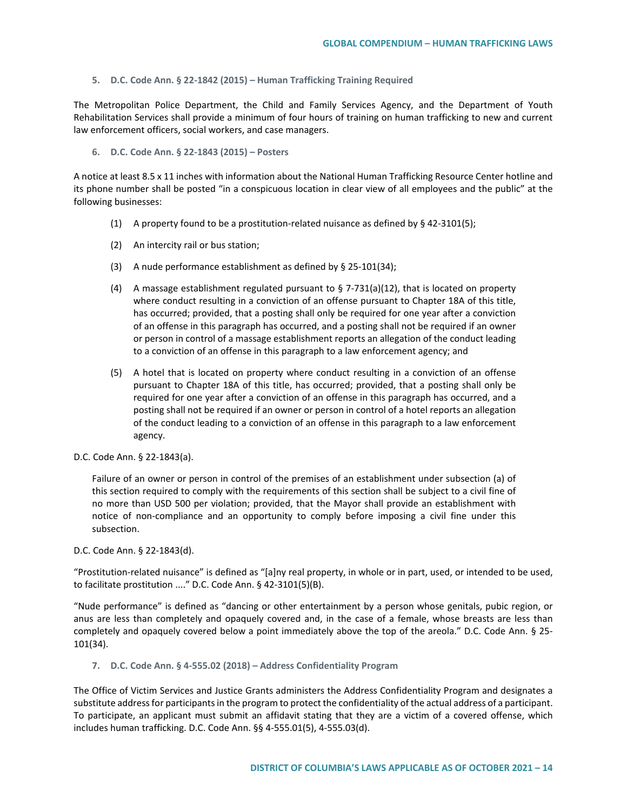**5. D.C. Code Ann. § 22-1842 (2015) – Human Trafficking Training Required**

The Metropolitan Police Department, the Child and Family Services Agency, and the Department of Youth Rehabilitation Services shall provide a minimum of four hours of training on human trafficking to new and current law enforcement officers, social workers, and case managers.

**6. D.C. Code Ann. § 22-1843 (2015) – Posters** 

A notice at least 8.5 x 11 inches with information about the National Human Trafficking Resource Center hotline and its phone number shall be posted "in a conspicuous location in clear view of all employees and the public" at the following businesses:

- (1) A property found to be a prostitution-related nuisance as defined by § 42-3101(5);
- (2) An intercity rail or bus station;
- (3) A nude performance establishment as defined by § 25-101(34);
- (4) A massage establishment regulated pursuant to  $\S$  7-731(a)(12), that is located on property where conduct resulting in a conviction of an offense pursuant to Chapter 18A of this title, has occurred; provided, that a posting shall only be required for one year after a conviction of an offense in this paragraph has occurred, and a posting shall not be required if an owner or person in control of a massage establishment reports an allegation of the conduct leading to a conviction of an offense in this paragraph to a law enforcement agency; and
- (5) A hotel that is located on property where conduct resulting in a conviction of an offense pursuant to Chapter 18A of this title, has occurred; provided, that a posting shall only be required for one year after a conviction of an offense in this paragraph has occurred, and a posting shall not be required if an owner or person in control of a hotel reports an allegation of the conduct leading to a conviction of an offense in this paragraph to a law enforcement agency.

#### D.C. Code Ann. § 22-1843(a).

Failure of an owner or person in control of the premises of an establishment under subsection (a) of this section required to comply with the requirements of this section shall be subject to a civil fine of no more than USD 500 per violation; provided, that the Mayor shall provide an establishment with notice of non-compliance and an opportunity to comply before imposing a civil fine under this subsection.

D.C. Code Ann. § 22-1843(d).

"Prostitution-related nuisance" is defined as "[a]ny real property, in whole or in part, used, or intended to be used, to facilitate prostitution ...." D.C. Code Ann. § 42-3101(5)(B).

"Nude performance" is defined as "dancing or other entertainment by a person whose genitals, pubic region, or anus are less than completely and opaquely covered and, in the case of a female, whose breasts are less than completely and opaquely covered below a point immediately above the top of the areola." D.C. Code Ann. § 25- 101(34).

**7. D.C. Code Ann. § 4-555.02 (2018) – Address Confidentiality Program** 

The Office of Victim Services and Justice Grants administers the Address Confidentiality Program and designates a substitute address for participants in the program to protect the confidentiality of the actual address of a participant. To participate, an applicant must submit an affidavit stating that they are a victim of a covered offense, which includes human trafficking. D.C. Code Ann. §§ 4-555.01(5), 4-555.03(d).